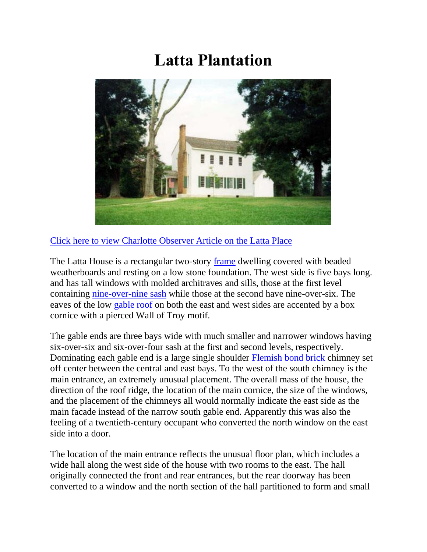## **Latta Plantation**



[Click here to view Charlotte Observer Article on the Latta Place](http://cmhpf.org/ArticleLP.htm)

The Latta House is a rectangular two-story [frame](http://cmhpf.org/kids/dictionary/framing.html) dwelling covered with beaded weatherboards and resting on a low stone foundation. The west side is five bays long. and has tall windows with molded architraves and sills, those at the first level containing [nine-over-nine sash](http://cmhpf.org/kids/Guideboox/windows.html) while those at the second have nine-over-six. The eaves of the low [gable roof](http://cmhpf.org/kids/Guideboox/RoofTypes.html) on both the east and west sides are accented by a box cornice with a pierced Wall of Troy motif.

The gable ends are three bays wide with much smaller and narrower windows having six-over-six and six-over-four sash at the first and second levels, respectively. Dominating each gable end is a large single shoulder [Flemish bond brick](http://cmhpf.org/kids/Guideboox/brick.html) chimney set off center between the central and east bays. To the west of the south chimney is the main entrance, an extremely unusual placement. The overall mass of the house, the direction of the roof ridge, the location of the main cornice, the size of the windows, and the placement of the chimneys all would normally indicate the east side as the main facade instead of the narrow south gable end. Apparently this was also the feeling of a twentieth-century occupant who converted the north window on the east side into a door.

The location of the main entrance reflects the unusual floor plan, which includes a wide hall along the west side of the house with two rooms to the east. The hall originally connected the front and rear entrances, but the rear doorway has been converted to a window and the north section of the hall partitioned to form and small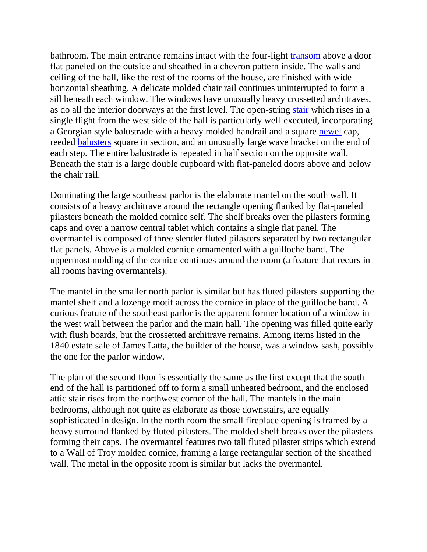bathroom. The main entrance remains intact with the four-light [transom](http://cmhpf.org/kids/Guideboox/windows.html) above a door flat-paneled on the outside and sheathed in a chevron pattern inside. The walls and ceiling of the hall, like the rest of the rooms of the house, are finished with wide horizontal sheathing. A delicate molded chair rail continues uninterrupted to form a sill beneath each window. The windows have unusually heavy crossetted architraves, as do all the interior doorways at the first level. The open-string [stair](http://cmhpf.org/kids/dictionary/stairs.html) which rises in a single flight from the west side of the hall is particularly well-executed, incorporating a Georgian style balustrade with a heavy molded handrail and a square [newel](http://cmhpf.org/kids/dictionary/stairs.html) cap, reeded [balusters](http://cmhpf.org/kids/dictionary/stairs.html) square in section, and an unusually large wave bracket on the end of each step. The entire balustrade is repeated in half section on the opposite wall. Beneath the stair is a large double cupboard with flat-paneled doors above and below the chair rail.

Dominating the large southeast parlor is the elaborate mantel on the south wall. It consists of a heavy architrave around the rectangle opening flanked by flat-paneled pilasters beneath the molded cornice self. The shelf breaks over the pilasters forming caps and over a narrow central tablet which contains a single flat panel. The overmantel is composed of three slender fluted pilasters separated by two rectangular flat panels. Above is a molded cornice ornamented with a guilloche band. The uppermost molding of the cornice continues around the room (a feature that recurs in all rooms having overmantels).

The mantel in the smaller north parlor is similar but has fluted pilasters supporting the mantel shelf and a lozenge motif across the cornice in place of the guilloche band. A curious feature of the southeast parlor is the apparent former location of a window in the west wall between the parlor and the main hall. The opening was filled quite early with flush boards, but the crossetted architrave remains. Among items listed in the 1840 estate sale of James Latta, the builder of the house, was a window sash, possibly the one for the parlor window.

The plan of the second floor is essentially the same as the first except that the south end of the hall is partitioned off to form a small unheated bedroom, and the enclosed attic stair rises from the northwest corner of the hall. The mantels in the main bedrooms, although not quite as elaborate as those downstairs, are equally sophisticated in design. In the north room the small fireplace opening is framed by a heavy surround flanked by fluted pilasters. The molded shelf breaks over the pilasters forming their caps. The overmantel features two tall fluted pilaster strips which extend to a Wall of Troy molded cornice, framing a large rectangular section of the sheathed wall. The metal in the opposite room is similar but lacks the overmantel.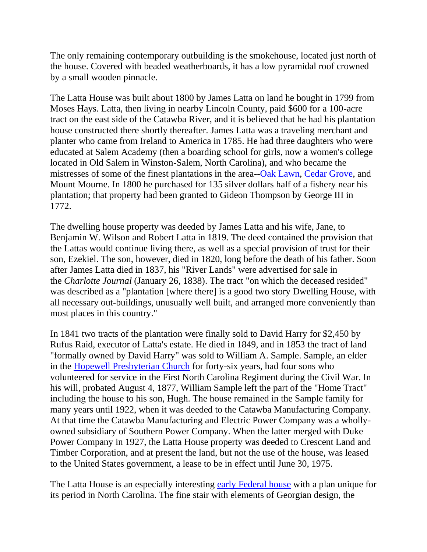The only remaining contemporary outbuilding is the smokehouse, located just north of the house. Covered with beaded weatherboards, it has a low pyramidal roof crowned by a small wooden pinnacle.

The Latta House was built about 1800 by James Latta on land he bought in 1799 from Moses Hays. Latta, then living in nearby Lincoln County, paid \$600 for a 100-acre tract on the east side of the Catawba River, and it is believed that he had his plantation house constructed there shortly thereafter. James Latta was a traveling merchant and planter who came from Ireland to America in 1785. He had three daughters who were educated at Salem Academy (then a boarding school for girls, now a women's college located in Old Salem in Winston-Salem, North Carolina), and who became the mistresses of some of the finest plantations in the area-[-Oak Lawn,](http://cmhpf.org/Properties%20Foundation%20Reports/oaklawn.html) [Cedar Grove,](http://cmhpf.org/Properties%20Foundation%20Reports/CedarGrove-ToranceHseStore.html) and Mount Mourne. In 1800 he purchased for 135 silver dollars half of a fishery near his plantation; that property had been granted to Gideon Thompson by George III in 1772.

The dwelling house property was deeded by James Latta and his wife, Jane, to Benjamin W. Wilson and Robert Latta in 1819. The deed contained the provision that the Lattas would continue living there, as well as a special provision of trust for their son, Ezekiel. The son, however, died in 1820, long before the death of his father. Soon after James Latta died in 1837, his "River Lands" were advertised for sale in the *Charlotte Journal* (January 26, 1838). The tract "on which the deceased resided" was described as a "plantation [where there] is a good two story Dwelling House, with all necessary out-buildings, unusually well built, and arranged more conveniently than most places in this country."

In 1841 two tracts of the plantation were finally sold to David Harry for \$2,450 by Rufus Raid, executor of Latta's estate. He died in 1849, and in 1853 the tract of land "formally owned by David Harry" was sold to William A. Sample. Sample, an elder in the [Hopewell Presbyterian Church](http://cmhpf.org/Properties%20Foundation%20Reports/hopewell.html) for forty-six years, had four sons who volunteered for service in the First North Carolina Regiment during the Civil War. In his will, probated August 4, 1877, William Sample left the part of the "Home Tract" including the house to his son, Hugh. The house remained in the Sample family for many years until 1922, when it was deeded to the Catawba Manufacturing Company. At that time the Catawba Manufacturing and Electric Power Company was a whollyowned subsidiary of Southern Power Company. When the latter merged with Duke Power Company in 1927, the Latta House property was deeded to Crescent Land and Timber Corporation, and at present the land, but not the use of the house, was leased to the United States government, a lease to be in effect until June 30, 1975.

The Latta House is an especially interesting [early Federal house](http://cmhpf.org/kids/Guideboox/OldHouseGuide.html) with a plan unique for its period in North Carolina. The fine stair with elements of Georgian design, the